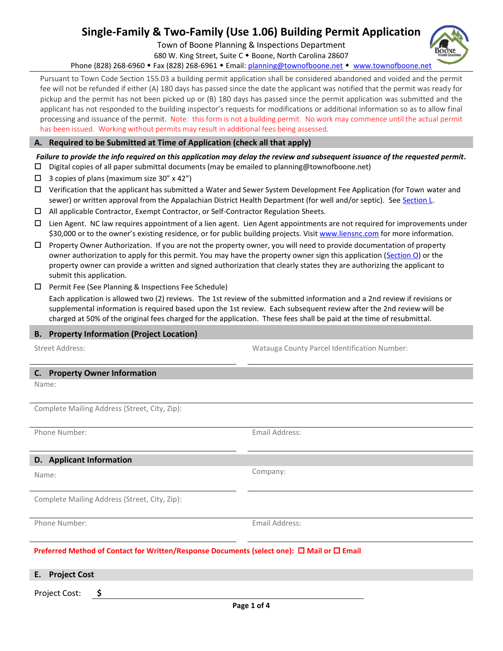# **Single-Family & Two-Family (Use 1.06) Building Permit Application**

Town of Boone Planning & Inspections Department

680 W. King Street, Suite C . Boone, North Carolina 28607

Phone (828) 268-6960 • Fax (828) 268-6961 • Email: [planning@townofboone.net](mailto:planning@townofboone.net) • [www.townofboone.net](http://www.townofboone.net/)

Pursuant to Town Code Section 155.03 a building permit application shall be considered abandoned and voided and the permit fee will not be refunded if either (A) 180 days has passed since the date the applicant was notified that the permit was ready for pickup and the permit has not been picked up or (B) 180 days has passed since the permit application was submitted and the applicant has not responded to the building inspector's requests for modifications or additional information so as to allow final processing and issuance of the permit. Note: this form is not a building permit. No work may commence until the actual permit has been issued. Working without permits may result in additional fees being assessed.

#### **A. Required to be Submitted at Time of Application (check all that apply)**

#### *Failure to provide the info required on this application may delay the review and subsequent issuance of the requested permit.*

- $\square$  Digital copies of all paper submittal documents (may be emailed to planning@townofboone.net)
- $\Box$  3 copies of plans (maximum size 30" x 42")
- Verification that the applicant has submitted a Water and Sewer System Development Fee Application (for Town water and sewer) or written approval from the Appalachian District Health Department (for well and/or septic). See [Section L.](#page-2-0)
- All applicable Contractor, Exempt Contractor, or Self-Contractor Regulation Sheets.
- $\Box$  Lien Agent. NC law requires appointment of a lien agent. Lien Agent appointments are not required for improvements under \$30,000 or to the owner's existing residence, or for public building projects. Visit [www.liensnc.com](http://www.liensnc.com/) for more information.
- $\Box$  Property Owner Authorization. If you are not the property owner, you will need to provide documentation of property owner authorization to apply for this permit. You may have the property owner sign this application [\(Section O\)](#page-3-0) or the property owner can provide a written and signed authorization that clearly states they are authorizing the applicant to submit this application.
- $\square$  Permit Fee (See Planning & Inspections Fee Schedule)

Each application is allowed two (2) reviews. The 1st review of the submitted information and a 2nd review if revisions or supplemental information is required based upon the 1st review. Each subsequent review after the 2nd review will be charged at 50% of the original fees charged for the application. These fees shall be paid at the time of resubmittal.

#### **B. Property Information (Project Location)**

Street Address: Watauga County Parcel Identification Number:

#### **C. Property Owner Information**

Name:

Complete Mailing Address (Street, City, Zip):

Phone Number: Email Address:

#### **D. Applicant Information**

Name:

Complete Mailing Address (Street, City, Zip):

Phone Number: Email Address:

Company:

#### **Preferred Method of Contact for Written/Response Documents (select one): □ Mail or □ Email**

**E. Project Cost**

Project Cost: **\$**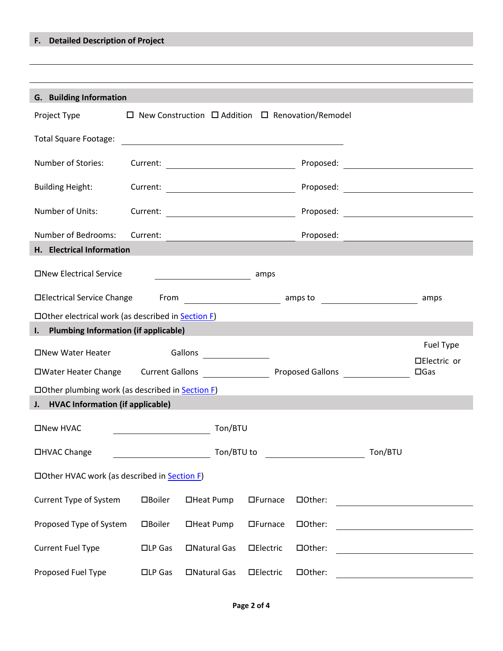## <span id="page-1-0"></span>**F. Detailed Description of Project**

## **G. Building Information**

| $\Box$ New Construction $\Box$ Addition $\Box$ Renovation/Remodel<br>Project Type |                  |                                                 |                  |           |                                                                                                                      |                               |
|-----------------------------------------------------------------------------------|------------------|-------------------------------------------------|------------------|-----------|----------------------------------------------------------------------------------------------------------------------|-------------------------------|
| <b>Total Square Footage:</b>                                                      |                  |                                                 |                  |           |                                                                                                                      |                               |
| Number of Stories:                                                                |                  |                                                 |                  | Proposed: | <u> 1980 - Jan Samuel Barbara, prima a prima a prima a prima a prima a prima a prima a prima a prima a prima a p</u> |                               |
| <b>Building Height:</b>                                                           | Current:         | <u> 1990 - Johann Barbara, martin a</u>         |                  |           |                                                                                                                      |                               |
| Number of Units:                                                                  | Current:         |                                                 |                  |           |                                                                                                                      |                               |
| Number of Bedrooms:                                                               | Current:         |                                                 |                  | Proposed: |                                                                                                                      |                               |
| H. Electrical Information                                                         |                  |                                                 |                  |           |                                                                                                                      |                               |
| □New Electrical Service<br>amps                                                   |                  |                                                 |                  |           |                                                                                                                      |                               |
| □Electrical Service Change                                                        | From             | amps to                                         |                  |           |                                                                                                                      | amps                          |
| □ Other electrical work (as described in <b>Section F)</b>                        |                  |                                                 |                  |           |                                                                                                                      |                               |
| <b>Plumbing Information (if applicable)</b><br>$\mathbf{l}$ .                     |                  |                                                 |                  |           |                                                                                                                      |                               |
| □New Water Heater                                                                 |                  | Gallons<br><u>a sa salawang pangangang pang</u> |                  |           |                                                                                                                      | Fuel Type                     |
| □Water Heater Change                                                              |                  | Current Gallons [1989]                          |                  |           | Proposed Gallons                                                                                                     | □Electric or<br>$\square$ Gas |
| $\Box$ Other plumbing work (as described in Section F)                            |                  |                                                 |                  |           |                                                                                                                      |                               |
| J. HVAC Information (if applicable)                                               |                  |                                                 |                  |           |                                                                                                                      |                               |
| □New HVAC                                                                         |                  | Ton/BTU                                         |                  |           |                                                                                                                      |                               |
| □HVAC Change                                                                      |                  | Ton/BTU to                                      |                  |           | Ton/BTU                                                                                                              |                               |
| □ Other HVAC work (as described in Section F)                                     |                  |                                                 |                  |           |                                                                                                                      |                               |
| Current Type of System                                                            | □Boiler          | □Heat Pump                                      | $\Box$ Furnace   | □Other:   |                                                                                                                      |                               |
| Proposed Type of System                                                           | □Boiler          | □Heat Pump                                      | $\Box$ Furnace   | □Other:   |                                                                                                                      |                               |
| <b>Current Fuel Type</b>                                                          | $\square$ LP Gas | □Natural Gas                                    | <b>DElectric</b> | □Other:   |                                                                                                                      |                               |
| Proposed Fuel Type                                                                | $\square$ LP Gas | □Natural Gas                                    | <b>DElectric</b> | □Other:   |                                                                                                                      |                               |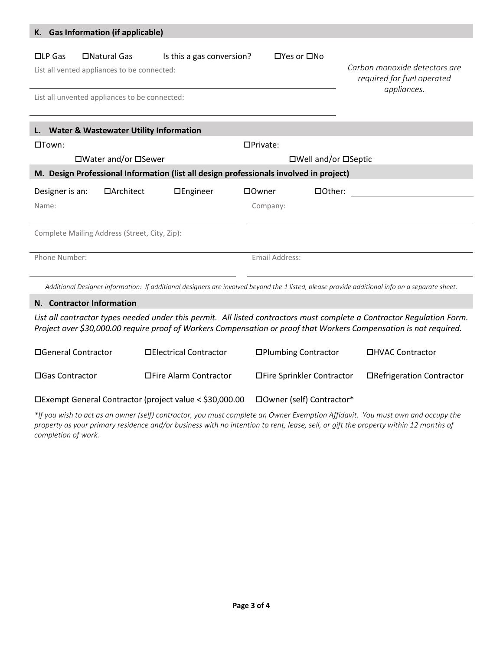<span id="page-2-0"></span>

| K. Gas Information (if applicable)                                                                                                                                                       |                  |                 |                      |                                                                            |  |  |  |
|------------------------------------------------------------------------------------------------------------------------------------------------------------------------------------------|------------------|-----------------|----------------------|----------------------------------------------------------------------------|--|--|--|
| □Natural Gas<br>$\square$ LP Gas<br>Is this a gas conversion?<br>$\Box$ Yes or $\Box$ No<br>List all vented appliances to be connected:<br>List all unvented appliances to be connected: |                  |                 |                      | Carbon monoxide detectors are<br>required for fuel operated<br>appliances. |  |  |  |
| <b>Water &amp; Wastewater Utility Information</b>                                                                                                                                        |                  |                 |                      |                                                                            |  |  |  |
| $\square$ Town:                                                                                                                                                                          |                  |                 | $D$ Private:         |                                                                            |  |  |  |
| □Water and/or □Sewer                                                                                                                                                                     |                  |                 | □Well and/or □Septic |                                                                            |  |  |  |
| M. Design Professional Information (list all design professionals involved in project)                                                                                                   |                  |                 |                      |                                                                            |  |  |  |
| Designer is an:                                                                                                                                                                          | $\Box$ Architect | $\Box$ Engineer | □Owner               | □Other:                                                                    |  |  |  |
| Name:                                                                                                                                                                                    |                  |                 | Company:             |                                                                            |  |  |  |
| Complete Mailing Address (Street, City, Zip):                                                                                                                                            |                  |                 |                      |                                                                            |  |  |  |
| Phone Number:                                                                                                                                                                            |                  |                 |                      | Email Address:                                                             |  |  |  |
| Additional Designer Information: If additional designers are involved beyond the 1 listed, please provide additional info on a separate sheet.                                           |                  |                 |                      |                                                                            |  |  |  |

### **N. Contractor Information**

*List all contractor types needed under this permit. All listed contractors must complete a Contractor Regulation Form. Project over \$30,000.00 require proof of Workers Compensation or proof that Workers Compensation is not required.*

| □General Contractor | □Electrical Contractor | □ Plumbing Contractor       | □HVAC Contractor          |  |
|---------------------|------------------------|-----------------------------|---------------------------|--|
| □ Gas Contractor    | □Fire Alarm Contractor | □ Fire Sprinkler Contractor | □Refrigeration Contractor |  |
|                     |                        |                             |                           |  |

Exempt General Contractor (project value < \$30,000.00 Owner (self) Contractor\*

*\*If you wish to act as an owner (self) contractor, you must complete an Owner Exemption Affidavit. You must own and occupy the property as your primary residence and/or business with no intention to rent, lease, sell, or gift the property within 12 months of completion of work.*